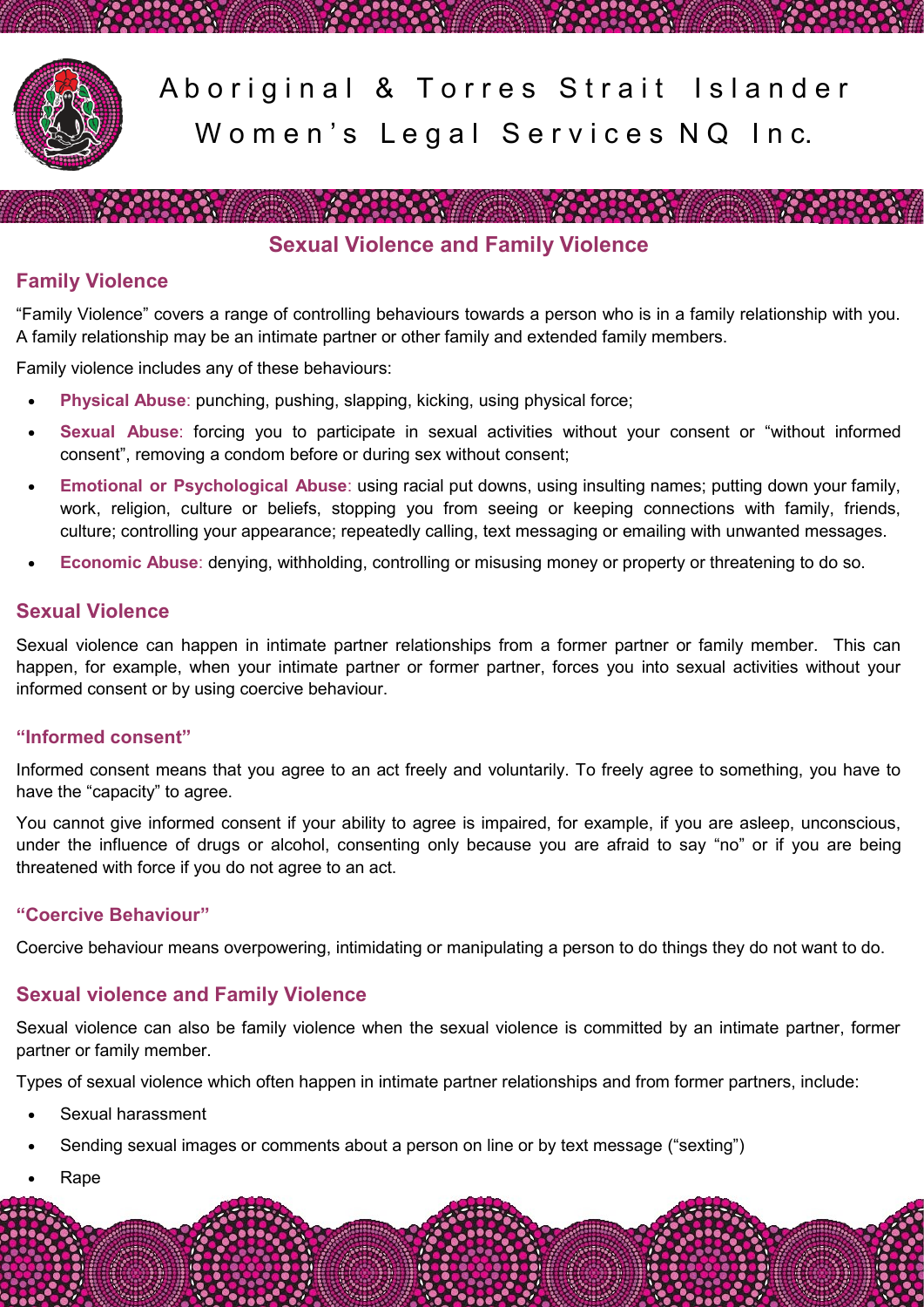

Aboriginal & Torres Strait Islander Women's Legal Services NQ Inc.

**Sexual Violence and Family Violence**

<u> De Carlos de la componentación de la componentación de la componentación de la componentación de la componentación de la componentación de la componentación de la componentación de la componentación de la componentación </u>

# **Family Violence**

"Family Violence" covers a range of controlling behaviours towards a person who is in a family relationship with you. A family relationship may be an intimate partner or other family and extended family members.

Family violence includes any of these behaviours:

- **Physical Abuse**: punching, pushing, slapping, kicking, using physical force;
- **Sexual Abuse**: forcing you to participate in sexual activities without your consent or "without informed consent", removing a condom before or during sex without consent;
- **Emotional or Psychological Abuse**: using racial put downs, using insulting names; putting down your family, work, religion, culture or beliefs, stopping you from seeing or keeping connections with family, friends, culture; controlling your appearance; repeatedly calling, text messaging or emailing with unwanted messages.
- **Economic Abuse**: denying, withholding, controlling or misusing money or property or threatening to do so.

### **Sexual Violence**

Sexual violence can happen in intimate partner relationships from a former partner or family member. This can happen, for example, when your intimate partner or former partner, forces you into sexual activities without your informed consent or by using coercive behaviour.

#### **"Informed consent"**

Informed consent means that you agree to an act freely and voluntarily. To freely agree to something, you have to have the "capacity" to agree.

You cannot give informed consent if your ability to agree is impaired, for example, if you are asleep, unconscious, under the influence of drugs or alcohol, consenting only because you are afraid to say "no" or if you are being threatened with force if you do not agree to an act.

### **"Coercive Behaviour"**

Coercive behaviour means overpowering, intimidating or manipulating a person to do things they do not want to do.

## **Sexual violence and Family Violence**

Sexual violence can also be family violence when the sexual violence is committed by an intimate partner, former partner or family member.

Types of sexual violence which often happen in intimate partner relationships and from former partners, include:

- Sexual harassment
- Sending sexual images or comments about a person on line or by text message ("sexting")
- Rape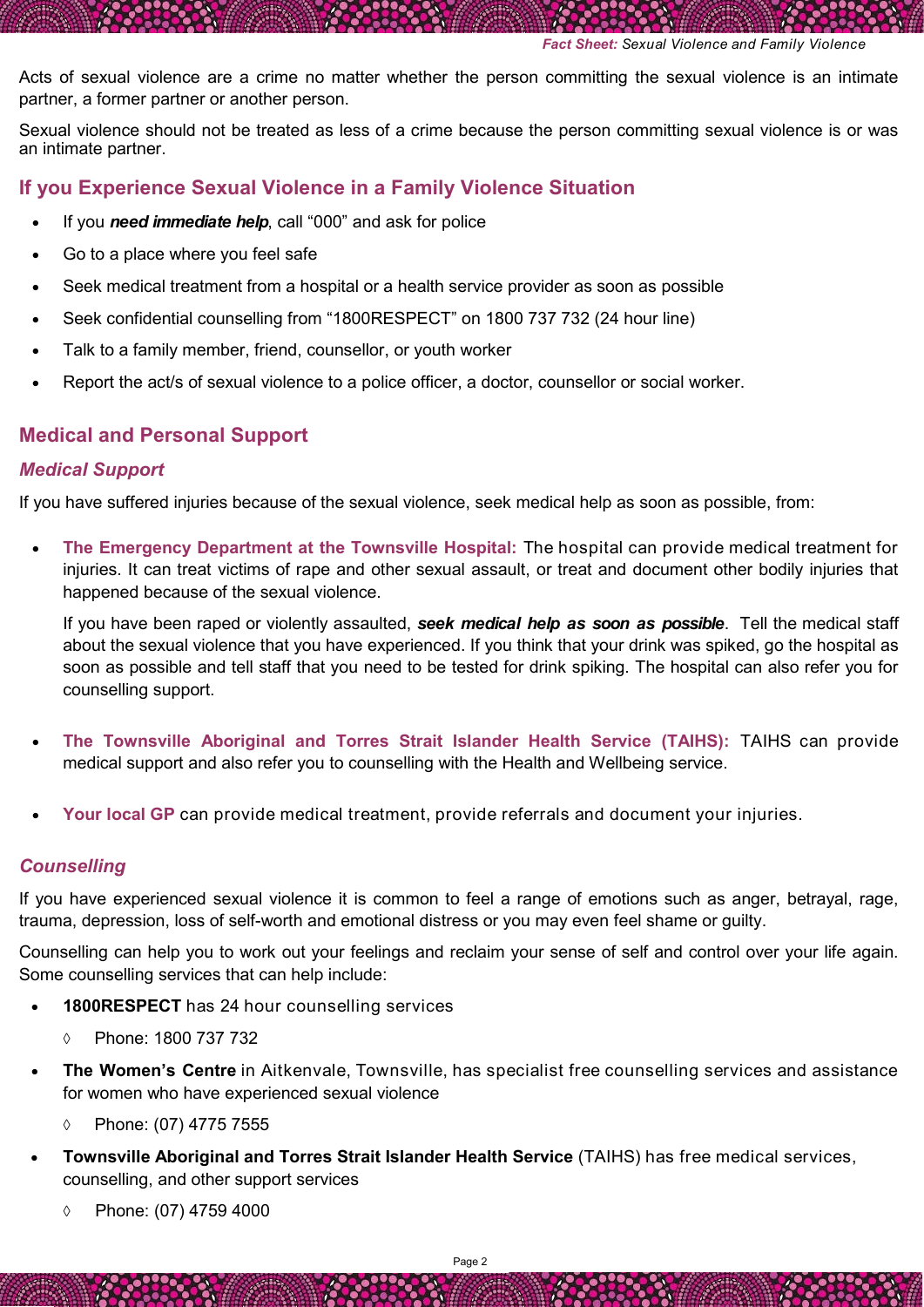Acts of sexual violence are a crime no matter whether the person committing the sexual violence is an intimate partner, a former partner or another person.

Sexual violence should not be treated as less of a crime because the person committing sexual violence is or was an intimate partner.

### **If you Experience Sexual Violence in a Family Violence Situation**

- If you *need immediate help*, call "000" and ask for police
- Go to a place where you feel safe
- Seek medical treatment from a hospital or a health service provider as soon as possible
- Seek confidential counselling from "1800RESPECT" on 1800 737 732 (24 hour line)
- Talk to a family member, friend, counsellor, or youth worker
- Report the act/s of sexual violence to a police officer, a doctor, counsellor or social worker.

### **Medical and Personal Support**

#### *Medical Support*

If you have suffered injuries because of the sexual violence, seek medical help as soon as possible, from:

 **The Emergency Department at the Townsville Hospital:** The hospital can provide medical treatment for injuries. It can treat victims of rape and other sexual assault, or treat and document other bodily injuries that happened because of the sexual violence.

If you have been raped or violently assaulted, *seek medical help as soon as possible*. Tell the medical staff about the sexual violence that you have experienced. If you think that your drink was spiked, go the hospital as soon as possible and tell staff that you need to be tested for drink spiking. The hospital can also refer you for counselling support.

- **The Townsville Aboriginal and Torres Strait Islander Health Service (TAIHS):** TAIHS can provide medical support and also refer you to counselling with the Health and Wellbeing service.
- **Your local GP** can provide medical treatment, provide referrals and document your injuries.

### *Counselling*

If you have experienced sexual violence it is common to feel a range of emotions such as anger, betrayal, rage, trauma, depression, loss of self-worth and emotional distress or you may even feel shame or guilty.

Counselling can help you to work out your feelings and reclaim your sense of self and control over your life again. Some counselling services that can help include:

- **1800RESPECT** has 24 hour counselling services
	- Phone: 1800 737 732
- **The Women's Centre** in Aitkenvale, Townsville, has specialist free counselling services and assistance for women who have experienced sexual violence
	- Phone: (07) 4775 7555
- **Townsville Aboriginal and Torres Strait Islander Health Service** (TAIHS) has free medical services, counselling, and other support services
	- Phone: (07) 4759 4000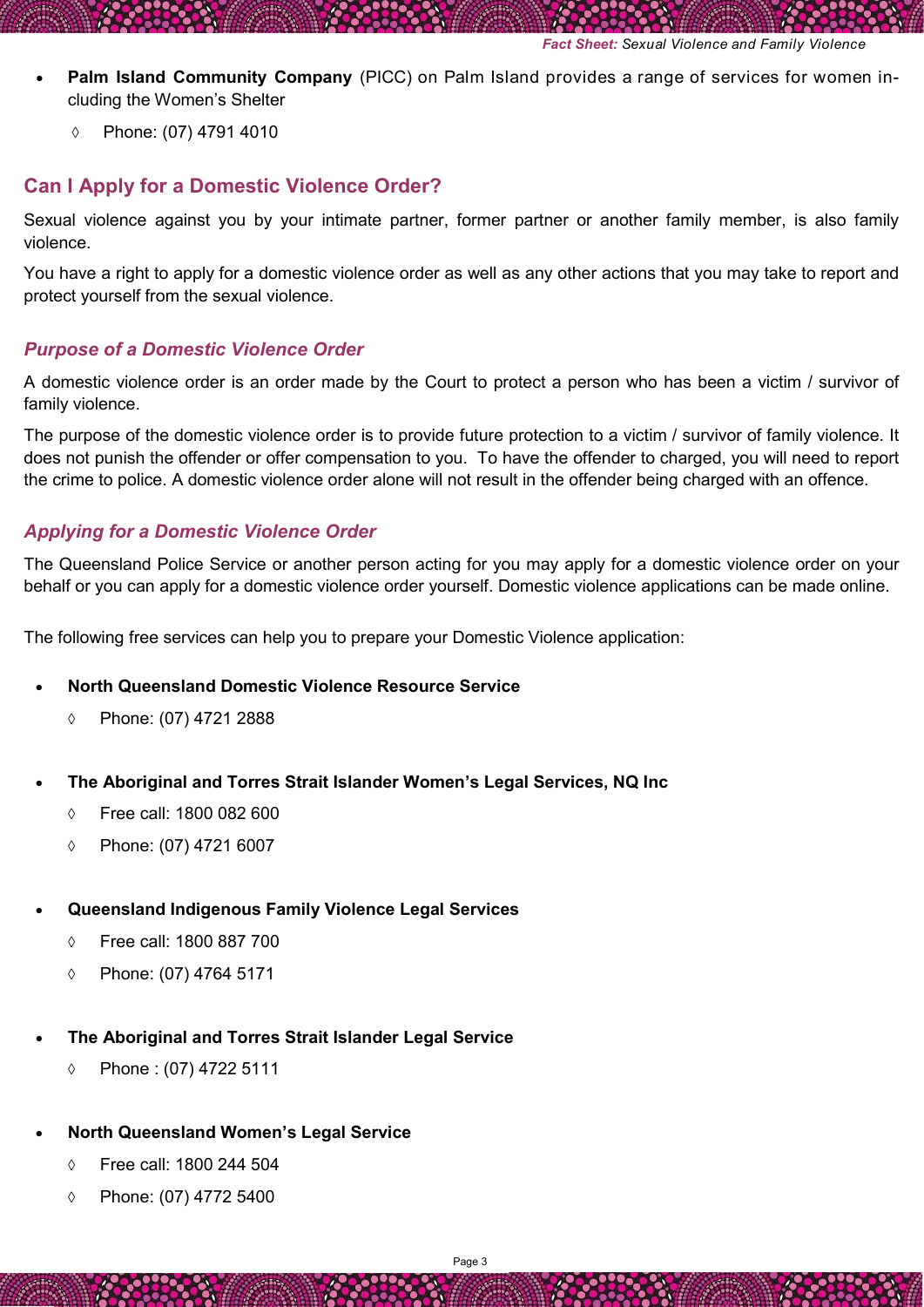- **Palm Island Community Company** (PICC) on Palm Island provides a range of services for women including the Women's Shelter
	- Phone: (07) 4791 4010

## **Can I Apply for a Domestic Violence Order?**

Sexual violence against you by your intimate partner, former partner or another family member, is also family violence.

You have a right to apply for a domestic violence order as well as any other actions that you may take to report and protect yourself from the sexual violence.

#### *Purpose of a Domestic Violence Order*

A domestic violence order is an order made by the Court to protect a person who has been a victim / survivor of family violence.

The purpose of the domestic violence order is to provide future protection to a victim / survivor of family violence. It does not punish the offender or offer compensation to you. To have the offender to charged, you will need to report the crime to police. A domestic violence order alone will not result in the offender being charged with an offence.

#### *Applying for a Domestic Violence Order*

The Queensland Police Service or another person acting for you may apply for a domestic violence order on your behalf or you can apply for a domestic violence order yourself. Domestic violence applications can be made online.

The following free services can help you to prepare your Domestic Violence application:

- **North Queensland Domestic Violence Resource Service** 
	- Phone: (07) 4721 2888
- **The Aboriginal and Torres Strait Islander Women's Legal Services, NQ Inc**
	- Free call: 1800 082 600
	- Phone: (07) 4721 6007
- **Queensland Indigenous Family Violence Legal Services** 
	- Free call: 1800 887 700
	- Phone: (07) 4764 5171
- **The Aboriginal and Torres Strait Islander Legal Service**
	- Phone : (07) 4722 5111
- **North Queensland Women's Legal Service**
	- Free call: 1800 244 504
	- Phone: (07) 4772 5400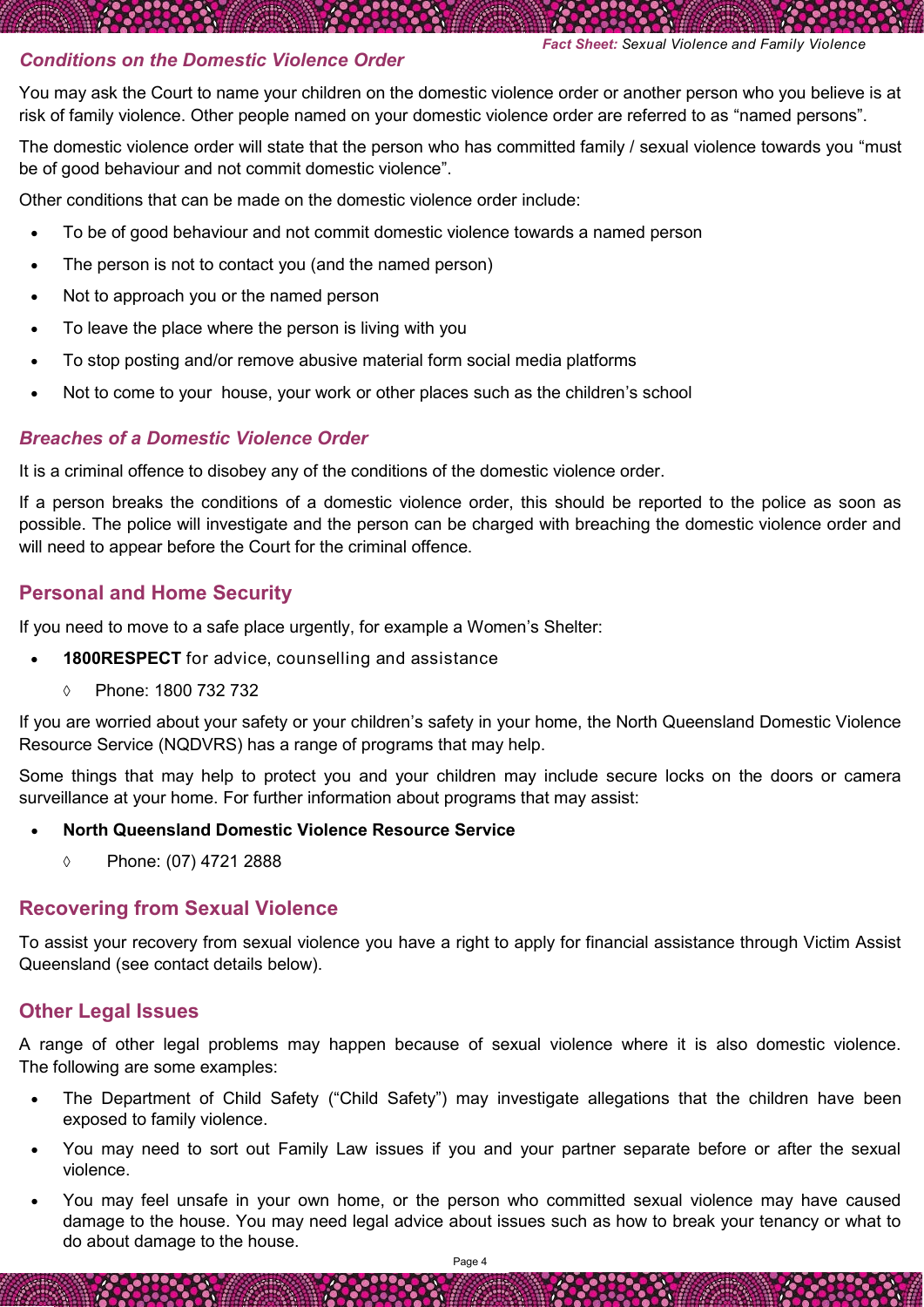*Fact Sheet: Sexual Violence and Family Violence* 

### *Conditions on the Domestic Violence Order*

You may ask the Court to name your children on the domestic violence order or another person who you believe is at risk of family violence. Other people named on your domestic violence order are referred to as "named persons".

The domestic violence order will state that the person who has committed family / sexual violence towards you "must be of good behaviour and not commit domestic violence".

Other conditions that can be made on the domestic violence order include:

- To be of good behaviour and not commit domestic violence towards a named person
- The person is not to contact you (and the named person)
- Not to approach you or the named person
- To leave the place where the person is living with you
- To stop posting and/or remove abusive material form social media platforms
- Not to come to your house, your work or other places such as the children's school

#### *Breaches of a Domestic Violence Order*

It is a criminal offence to disobey any of the conditions of the domestic violence order.

If a person breaks the conditions of a domestic violence order, this should be reported to the police as soon as possible. The police will investigate and the person can be charged with breaching the domestic violence order and will need to appear before the Court for the criminal offence.

### **Personal and Home Security**

If you need to move to a safe place urgently, for example a Women's Shelter:

- **1800RESPECT** for advice, counselling and assistance
	- Phone: 1800 732 732

If you are worried about your safety or your children's safety in your home, the North Queensland Domestic Violence Resource Service (NQDVRS) has a range of programs that may help.

Some things that may help to protect you and your children may include secure locks on the doors or camera surveillance at your home. For further information about programs that may assist:

#### **North Queensland Domestic Violence Resource Service**

Phone: (07) 4721 2888

### **Recovering from Sexual Violence**

To assist your recovery from sexual violence you have a right to apply for financial assistance through Victim Assist Queensland (see contact details below).

## **Other Legal Issues**

A range of other legal problems may happen because of sexual violence where it is also domestic violence. The following are some examples:

- The Department of Child Safety ("Child Safety") may investigate allegations that the children have been exposed to family violence.
- You may need to sort out Family Law issues if you and your partner separate before or after the sexual violence.
- You may feel unsafe in your own home, or the person who committed sexual violence may have caused damage to the house. You may need legal advice about issues such as how to break your tenancy or what to do about damage to the house.